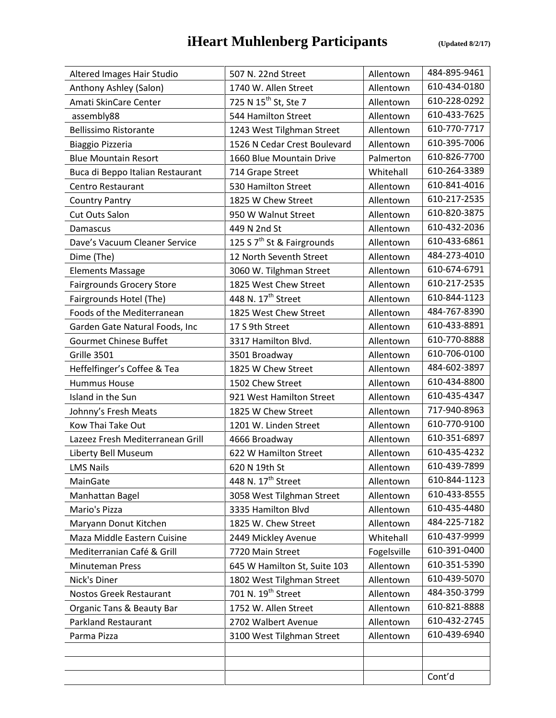## **iHeart Muhlenberg Participants** *(Updated 8/2/17)*

| Altered Images Hair Studio       | 507 N. 22nd Street                     | Allentown   | 484-895-9461 |
|----------------------------------|----------------------------------------|-------------|--------------|
| Anthony Ashley (Salon)           | 1740 W. Allen Street                   | Allentown   | 610-434-0180 |
| Amati SkinCare Center            | 725 N 15 <sup>th</sup> St, Ste 7       | Allentown   | 610-228-0292 |
| assembly88                       | 544 Hamilton Street                    | Allentown   | 610-433-7625 |
| <b>Bellissimo Ristorante</b>     | 1243 West Tilghman Street              | Allentown   | 610-770-7717 |
| Biaggio Pizzeria                 | 1526 N Cedar Crest Boulevard           | Allentown   | 610-395-7006 |
| <b>Blue Mountain Resort</b>      | 1660 Blue Mountain Drive               | Palmerton   | 610-826-7700 |
| Buca di Beppo Italian Restaurant | 714 Grape Street                       | Whitehall   | 610-264-3389 |
| <b>Centro Restaurant</b>         | 530 Hamilton Street                    | Allentown   | 610-841-4016 |
| <b>Country Pantry</b>            | 1825 W Chew Street                     | Allentown   | 610-217-2535 |
| <b>Cut Outs Salon</b>            | 950 W Walnut Street                    | Allentown   | 610-820-3875 |
| Damascus                         | 449 N 2nd St                           | Allentown   | 610-432-2036 |
| Dave's Vacuum Cleaner Service    | 125 S 7 <sup>th</sup> St & Fairgrounds | Allentown   | 610-433-6861 |
| Dime (The)                       | 12 North Seventh Street                | Allentown   | 484-273-4010 |
| <b>Elements Massage</b>          | 3060 W. Tilghman Street                | Allentown   | 610-674-6791 |
| <b>Fairgrounds Grocery Store</b> | 1825 West Chew Street                  | Allentown   | 610-217-2535 |
| Fairgrounds Hotel (The)          | 448 N. 17 <sup>th</sup> Street         | Allentown   | 610-844-1123 |
| Foods of the Mediterranean       | 1825 West Chew Street                  | Allentown   | 484-767-8390 |
| Garden Gate Natural Foods, Inc   | 17 S 9th Street                        | Allentown   | 610-433-8891 |
| <b>Gourmet Chinese Buffet</b>    | 3317 Hamilton Blvd.                    | Allentown   | 610-770-8888 |
| Grille 3501                      | 3501 Broadway                          | Allentown   | 610-706-0100 |
| Heffelfinger's Coffee & Tea      | 1825 W Chew Street                     | Allentown   | 484-602-3897 |
| <b>Hummus House</b>              | 1502 Chew Street                       | Allentown   | 610-434-8800 |
| Island in the Sun                | 921 West Hamilton Street               | Allentown   | 610-435-4347 |
| Johnny's Fresh Meats             | 1825 W Chew Street                     | Allentown   | 717-940-8963 |
| Kow Thai Take Out                | 1201 W. Linden Street                  | Allentown   | 610-770-9100 |
| Lazeez Fresh Mediterranean Grill | 4666 Broadway                          | Allentown   | 610-351-6897 |
| Liberty Bell Museum              | 622 W Hamilton Street                  | Allentown   | 610-435-4232 |
| <b>LMS Nails</b>                 | 620 N 19th St                          | Allentown   | 610-439-7899 |
| MainGate                         | 448 N. 17 <sup>th</sup> Street         | Allentown   | 610-844-1123 |
| Manhattan Bagel                  | 3058 West Tilghman Street              | Allentown   | 610-433-8555 |
| Mario's Pizza                    | 3335 Hamilton Blvd                     | Allentown   | 610-435-4480 |
| Maryann Donut Kitchen            | 1825 W. Chew Street                    | Allentown   | 484-225-7182 |
| Maza Middle Eastern Cuisine      | 2449 Mickley Avenue                    | Whitehall   | 610-437-9999 |
| Mediterranian Café & Grill       | 7720 Main Street                       | Fogelsville | 610-391-0400 |
| <b>Minuteman Press</b>           | 645 W Hamilton St, Suite 103           | Allentown   | 610-351-5390 |
| Nick's Diner                     | 1802 West Tilghman Street              | Allentown   | 610-439-5070 |
| <b>Nostos Greek Restaurant</b>   | 701 N. 19 <sup>th</sup> Street         | Allentown   | 484-350-3799 |
| Organic Tans & Beauty Bar        | 1752 W. Allen Street                   | Allentown   | 610-821-8888 |
| <b>Parkland Restaurant</b>       | 2702 Walbert Avenue                    | Allentown   | 610-432-2745 |
| Parma Pizza                      | 3100 West Tilghman Street              | Allentown   | 610-439-6940 |
|                                  |                                        |             |              |
|                                  |                                        |             |              |
|                                  |                                        |             | Cont'd       |